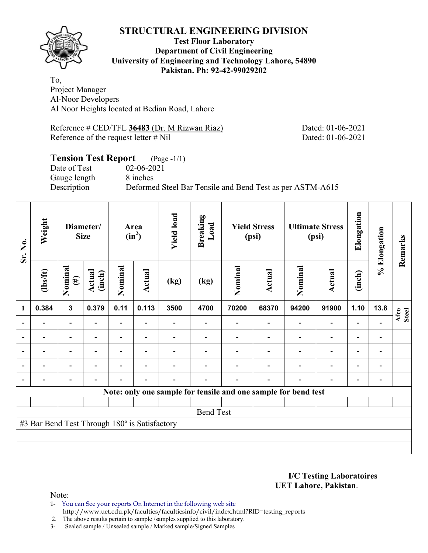

#### **Test Floor Laboratory Department of Civil Engineering University of Engineering and Technology Lahore, 54890 Pakistan. Ph: 92-42-99029202**

To, Project Manager Al-Noor Developers Al Noor Heights located at Bedian Road, Lahore

Reference # CED/TFL **36483** (Dr. M Rizwan Riaz) Dated: 01-06-2021 Reference of the request letter # Nil Dated: 01-06-2021

# **Tension Test Report** (Page -1/1) Date of Test 02-06-2021 Gauge length 8 inches Description Deformed Steel Bar Tensile and Bend Test as per ASTM-A615

| Sr. No.                                                        | Weight                                        | Diameter/<br><b>Size</b> |                          | Area<br>$(in^2)$         |                          | <b>Yield load</b> | Breaking<br>Load | <b>Yield Stress</b><br>(psi) |        | <b>Ultimate Stress</b><br>(psi) |                          | Elongation               | % Elongation                 | Remarks       |
|----------------------------------------------------------------|-----------------------------------------------|--------------------------|--------------------------|--------------------------|--------------------------|-------------------|------------------|------------------------------|--------|---------------------------------|--------------------------|--------------------------|------------------------------|---------------|
|                                                                | $lbsft$                                       | Nominal<br>$(\#)$        | Actual<br>(inch)         | Nominal                  | Actual                   | (kg)              | (kg)             | Nominal                      | Actual | Nominal                         | <b>Actual</b>            | (inch)                   |                              |               |
| 1                                                              | 0.384                                         | $\mathbf{3}$             | 0.379                    | 0.11                     | 0.113                    | 3500              | 4700             | 70200                        | 68370  | 94200                           | 91900                    | 1.10                     | 13.8                         | Afco<br>Steel |
| ۰                                                              |                                               | Ξ.                       |                          | Ξ.                       |                          |                   |                  |                              |        | ۰                               | $\overline{\phantom{0}}$ | $\overline{a}$           |                              |               |
|                                                                |                                               | $\overline{a}$           | $\overline{\phantom{0}}$ | $\overline{\phantom{0}}$ | $\blacksquare$           |                   |                  |                              |        | $\blacksquare$                  | $\overline{a}$           | -                        |                              |               |
| ۰                                                              |                                               | $\overline{\phantom{0}}$ |                          |                          | $\blacksquare$           |                   |                  |                              |        |                                 | $\overline{\phantom{0}}$ | $\overline{\phantom{0}}$ |                              |               |
| $\blacksquare$                                                 |                                               | $\overline{\phantom{0}}$ | $\blacksquare$           |                          | $\blacksquare$           |                   |                  |                              |        | $\overline{\phantom{0}}$        | $\overline{\phantom{a}}$ | $\overline{\phantom{a}}$ | $\overline{\phantom{0}}$     |               |
| $\blacksquare$                                                 |                                               | $\overline{\phantom{0}}$ |                          |                          | $\overline{\phantom{0}}$ |                   |                  |                              |        | $\blacksquare$                  | $\overline{a}$           | $\overline{\phantom{a}}$ | $\qquad \qquad \blacksquare$ |               |
| Note: only one sample for tensile and one sample for bend test |                                               |                          |                          |                          |                          |                   |                  |                              |        |                                 |                          |                          |                              |               |
|                                                                |                                               |                          |                          |                          |                          |                   |                  |                              |        |                                 |                          |                          |                              |               |
| <b>Bend Test</b>                                               |                                               |                          |                          |                          |                          |                   |                  |                              |        |                                 |                          |                          |                              |               |
|                                                                | #3 Bar Bend Test Through 180° is Satisfactory |                          |                          |                          |                          |                   |                  |                              |        |                                 |                          |                          |                              |               |
|                                                                |                                               |                          |                          |                          |                          |                   |                  |                              |        |                                 |                          |                          |                              |               |
|                                                                |                                               |                          |                          |                          |                          |                   |                  |                              |        |                                 |                          |                          |                              |               |

**I/C Testing Laboratoires UET Lahore, Pakistan**.

Note:

- 1- You can See your reports On Internet in the following web site http://www.uet.edu.pk/faculties/facultiesinfo/civil/index.html?RID=testing\_reports
- 2. The above results pertain to sample /samples supplied to this laboratory.
- 3- Sealed sample / Unsealed sample / Marked sample/Signed Samples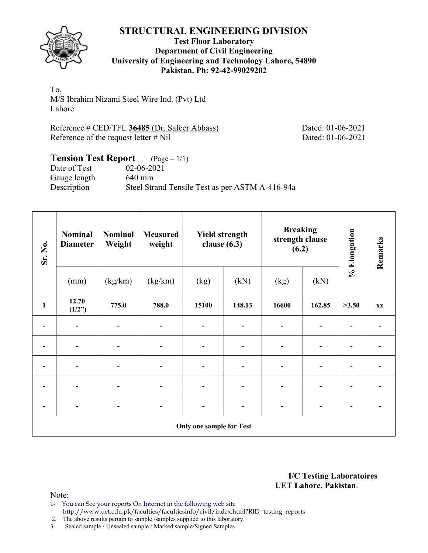

#### **Test Floor Laboratory Department of Civil Engineering University of Engineering and Technology Lahore, 54890 Pakistan. Ph: 92-42-99029202**

To, M/S Ibrahim Nizami Steel Wire Ind. (Pvt) Ltd Lahore

Reference # CED/TFL **36485** (Dr. Safeer Abbass) Dated: 01-06-2021 Reference of the request letter # Nil Dated: 01-06-2021

# **Tension Test Report** (Page – 1/1)

Date of Test 02-06-2021 Gauge length 640 mm Description Steel Strand Tensile Test as per ASTM A-416-94a

| Sr. No.      | <b>Nominal</b><br><b>Diameter</b> | <b>Nominal</b><br>Weight | <b>Measured</b><br>weight |       | <b>Yield strength</b><br>clause $(6.3)$ | <b>Breaking</b><br>strength clause<br>(6.2) |        | % Elongation | Remarks                  |  |  |  |
|--------------|-----------------------------------|--------------------------|---------------------------|-------|-----------------------------------------|---------------------------------------------|--------|--------------|--------------------------|--|--|--|
|              | (mm)                              | (kg/km)                  | (kg/km)                   | (kg)  | (kN)                                    | (kg)                                        | (kN)   |              |                          |  |  |  |
| $\mathbf{1}$ | 12.70<br>(1/2")                   | 775.0                    | 788.0                     | 15100 | 148.13                                  | 16600                                       | 162.85 | >3.50        | <b>XX</b>                |  |  |  |
|              |                                   |                          | $\overline{\phantom{a}}$  |       |                                         |                                             |        |              |                          |  |  |  |
|              |                                   |                          | $\overline{\phantom{a}}$  |       | -                                       |                                             |        |              |                          |  |  |  |
|              |                                   |                          | -                         |       |                                         |                                             |        |              |                          |  |  |  |
|              |                                   |                          | $\overline{\phantom{a}}$  |       |                                         |                                             |        |              |                          |  |  |  |
|              |                                   |                          | -                         |       |                                         |                                             |        | ٠            | $\overline{\phantom{0}}$ |  |  |  |
|              | Only one sample for Test          |                          |                           |       |                                         |                                             |        |              |                          |  |  |  |

**I/C Testing Laboratoires UET Lahore, Pakistan**.

Note:

- 1- You can See your reports On Internet in the following web site http://www.uet.edu.pk/faculties/facultiesinfo/civil/index.html?RID=testing\_reports
- 2. The above results pertain to sample /samples supplied to this laboratory.
- 3- Sealed sample / Unsealed sample / Marked sample/Signed Samples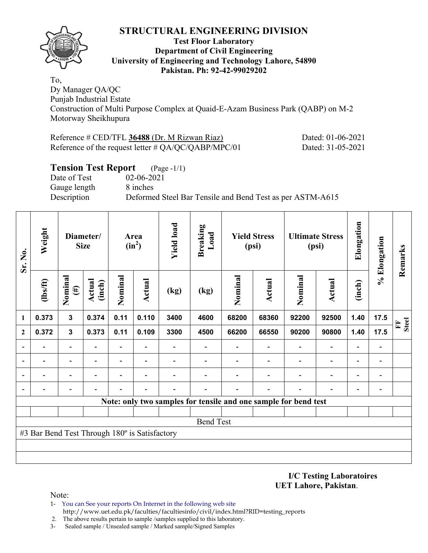

#### **Test Floor Laboratory Department of Civil Engineering University of Engineering and Technology Lahore, 54890 Pakistan. Ph: 92-42-99029202**

To, Dy Manager QA/QC Punjab Industrial Estate Construction of Multi Purpose Complex at Quaid-E-Azam Business Park (QABP) on M-2 Motorway Sheikhupura

| Reference # CED/TFL 36488 (Dr. M Rizwan Riaz)          | Dated: 01-06-2021 |
|--------------------------------------------------------|-------------------|
| Reference of the request letter $\# QA/QC/QABP/MPC/01$ | Dated: 31-05-2021 |

## **Tension Test Report** (Page -1/1)

Date of Test 02-06-2021 Gauge length 8 inches

Description Deformed Steel Bar Tensile and Bend Test as per ASTM-A615

| Sr. No.          | Weight<br>Diameter/<br><b>Size</b>            |                          |                  | Area<br>$(in^2)$         |                          | <b>Yield load</b> |                                                                 |         | <b>Yield Stress</b><br>(psi) |         | <b>Ultimate Stress</b><br>(psi) | Elongation               | % Elongation                 | Remarks           |
|------------------|-----------------------------------------------|--------------------------|------------------|--------------------------|--------------------------|-------------------|-----------------------------------------------------------------|---------|------------------------------|---------|---------------------------------|--------------------------|------------------------------|-------------------|
|                  | (1bs/ft)                                      | Nominal<br>$(\#)$        | Actual<br>(inch) | Nominal                  | Actual                   | (kg)              | (kg)                                                            | Nominal | <b>Actual</b>                | Nominal | <b>Actual</b>                   | (inch)                   |                              |                   |
| 1                | 0.373                                         | $\mathbf{3}$             | 0.374            | 0.11                     | 0.110                    | 3400              | 4600                                                            | 68200   | 68360                        | 92200   | 92500                           | 1.40                     | 17.5                         | <b>Steel</b><br>F |
| $\mathbf{2}$     | 0.372                                         | $\mathbf{3}$             | 0.373            | 0.11                     | 0.109                    | 3300              | 4500                                                            | 66200   | 66550                        | 90200   | 90800                           | 1.40                     | 17.5                         |                   |
|                  |                                               | $\overline{\phantom{0}}$ |                  | -                        |                          |                   |                                                                 |         |                              |         | $\overline{\phantom{a}}$        | $\overline{\phantom{0}}$ | $\qquad \qquad \blacksquare$ |                   |
|                  |                                               | $\overline{\phantom{a}}$ | -                | $\overline{\phantom{0}}$ | $\overline{\phantom{a}}$ |                   |                                                                 |         |                              |         | $\overline{\phantom{a}}$        | $\overline{\phantom{0}}$ | $\qquad \qquad \blacksquare$ |                   |
|                  |                                               | ۰                        |                  |                          |                          |                   |                                                                 |         |                              |         |                                 |                          | $\blacksquare$               |                   |
|                  |                                               |                          |                  |                          |                          |                   |                                                                 |         |                              |         |                                 |                          | $\overline{a}$               |                   |
|                  |                                               |                          |                  |                          |                          |                   | Note: only two samples for tensile and one sample for bend test |         |                              |         |                                 |                          |                              |                   |
|                  |                                               |                          |                  |                          |                          |                   |                                                                 |         |                              |         |                                 |                          |                              |                   |
| <b>Bend Test</b> |                                               |                          |                  |                          |                          |                   |                                                                 |         |                              |         |                                 |                          |                              |                   |
|                  | #3 Bar Bend Test Through 180° is Satisfactory |                          |                  |                          |                          |                   |                                                                 |         |                              |         |                                 |                          |                              |                   |
|                  |                                               |                          |                  |                          |                          |                   |                                                                 |         |                              |         |                                 |                          |                              |                   |
|                  |                                               |                          |                  |                          |                          |                   |                                                                 |         |                              |         |                                 |                          |                              |                   |

**I/C Testing Laboratoires UET Lahore, Pakistan**.

Note:

- 1- You can See your reports On Internet in the following web site http://www.uet.edu.pk/faculties/facultiesinfo/civil/index.html?RID=testing\_reports
- 2. The above results pertain to sample /samples supplied to this laboratory.
- 3- Sealed sample / Unsealed sample / Marked sample/Signed Samples